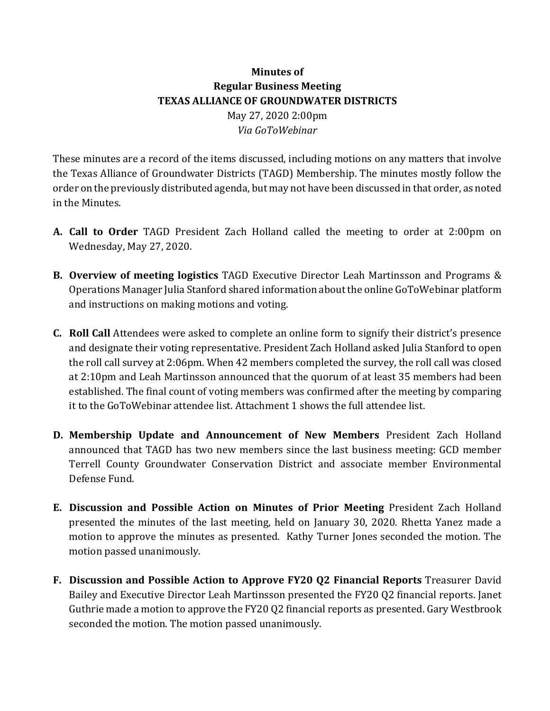## **Minutes** of **Regular Business Meeting TEXAS ALLIANCE OF GROUNDWATER DISTRICTS** May 27, 2020 2:00pm *Via GoToWebinar*

These minutes are a record of the items discussed, including motions on any matters that involve the Texas Alliance of Groundwater Districts (TAGD) Membership. The minutes mostly follow the order on the previously distributed agenda, but may not have been discussed in that order, as noted in the Minutes.

- **A.** Call to Order TAGD President Zach Holland called the meeting to order at 2:00pm on Wednesday, May 27, 2020.
- **B.** Overview of meeting logistics TAGD Executive Director Leah Martinsson and Programs & Operations Manager Julia Stanford shared information about the online GoToWebinar platform and instructions on making motions and voting.
- **C. Roll Call** Attendees were asked to complete an online form to signify their district's presence and designate their voting representative. President Zach Holland asked Julia Stanford to open the roll call survey at  $2:06$ pm. When  $42$  members completed the survey, the roll call was closed at 2:10pm and Leah Martinsson announced that the quorum of at least 35 members had been established. The final count of voting members was confirmed after the meeting by comparing it to the GoToWebinar attendee list. Attachment 1 shows the full attendee list.
- **D. Membership Update and Announcement of New Members** President Zach Holland announced that TAGD has two new members since the last business meeting: GCD member Terrell County Groundwater Conservation District and associate member Environmental Defense Fund.
- **E.** Discussion and Possible Action on Minutes of Prior Meeting President Zach Holland presented the minutes of the last meeting, held on January 30, 2020. Rhetta Yanez made a motion to approve the minutes as presented. Kathy Turner Jones seconded the motion. The motion passed unanimously.
- **F.** Discussion and Possible Action to Approve FY20 Q2 Financial Reports Treasurer David Bailey and Executive Director Leah Martinsson presented the FY20 Q2 financial reports. Janet Guthrie made a motion to approve the FY20 Q2 financial reports as presented. Gary Westbrook seconded the motion. The motion passed unanimously.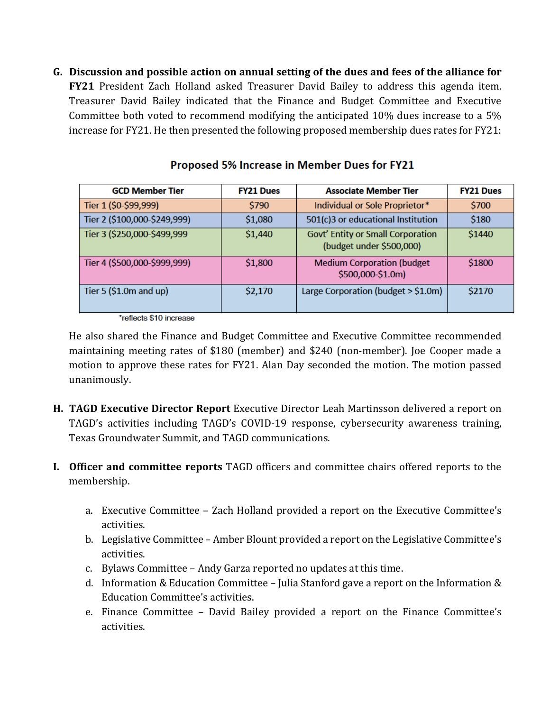G. Discussion and possible action on annual setting of the dues and fees of the alliance for **FY21** President Zach Holland asked Treasurer David Bailey to address this agenda item. Treasurer David Bailey indicated that the Finance and Budget Committee and Executive Committee both voted to recommend modifying the anticipated  $10\%$  dues increase to a 5%  $i$  increase for FY21. He then presented the following proposed membership dues rates for FY21:

| <b>GCD Member Tier</b>       | <b>FY21 Dues</b> | <b>Associate Member Tier</b>                                  | <b>FY21 Dues</b> |
|------------------------------|------------------|---------------------------------------------------------------|------------------|
| Tier 1 (\$0-\$99,999)        | \$790            | Individual or Sole Proprietor*                                | \$700            |
| Tier 2 (\$100,000-\$249,999) | \$1,080          | 501(c)3 or educational Institution                            | \$180            |
| Tier 3 (\$250,000-\$499,999  | \$1,440          | Govt' Entity or Small Corporation<br>(budget under \$500,000) | \$1440           |
| Tier 4 (\$500,000-\$999,999) | \$1,800          | <b>Medium Corporation (budget</b><br>\$500,000-\$1.0m)        | \$1800           |
| Tier 5 $($1.0m$ and up)      | \$2,170          | Large Corporation (budget > \$1.0m)                           | \$2170           |

## Proposed 5% Increase in Member Dues for FY21

\*reflects \$10 increase

He also shared the Finance and Budget Committee and Executive Committee recommended maintaining meeting rates of \$180 (member) and \$240 (non-member). Joe Cooper made a motion to approve these rates for FY21. Alan Day seconded the motion. The motion passed unanimously.

- **H.** TAGD Executive Director Report Executive Director Leah Martinsson delivered a report on TAGD's activities including TAGD's COVID-19 response, cybersecurity awareness training, Texas Groundwater Summit, and TAGD communications.
- **I.** Officer and committee reports TAGD officers and committee chairs offered reports to the membership.
	- a. Executive Committee Zach Holland provided a report on the Executive Committee's activities.
	- b. Legislative Committee Amber Blount provided a report on the Legislative Committee's activities.
	- c. Bylaws Committee Andy Garza reported no updates at this time.
	- d. Information & Education Committee Julia Stanford gave a report on the Information & Education Committee's activities.
	- e. Finance Committee David Bailey provided a report on the Finance Committee's activities.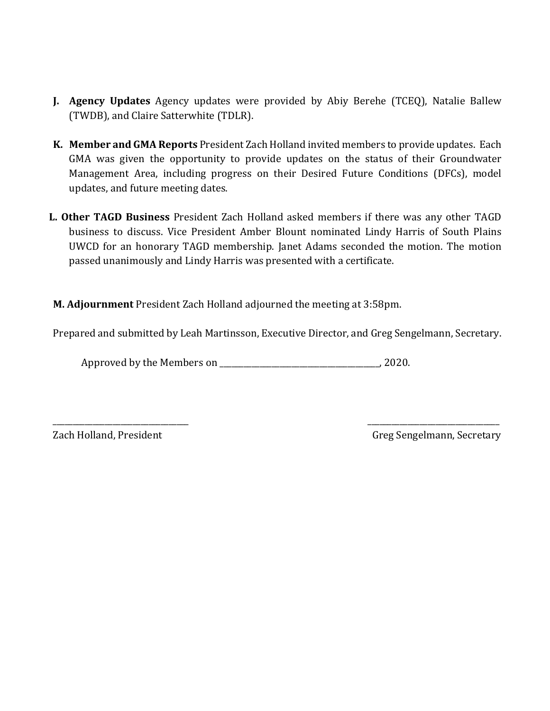- **J.** Agency Updates Agency updates were provided by Abiy Berehe (TCEQ), Natalie Ballew (TWDB), and Claire Satterwhite (TDLR).
- **K.** Member and GMA Reports President Zach Holland invited members to provide updates. Each GMA was given the opportunity to provide updates on the status of their Groundwater Management Area, including progress on their Desired Future Conditions (DFCs), model updates, and future meeting dates.
- L. Other TAGD Business President Zach Holland asked members if there was any other TAGD business to discuss. Vice President Amber Blount nominated Lindy Harris of South Plains UWCD for an honorary TAGD membership. Janet Adams seconded the motion. The motion passed unanimously and Lindy Harris was presented with a certificate.

**M. Adjournment** President Zach Holland adjourned the meeting at 3:58pm.

Prepared and submitted by Leah Martinsson, Executive Director, and Greg Sengelmann, Secretary.

\_\_\_\_\_\_\_\_\_\_\_\_\_\_\_\_\_\_\_\_\_\_\_\_\_\_\_\_\_\_\_\_\_\_ \_\_\_\_\_\_\_\_\_\_\_\_\_\_\_\_\_\_\_\_\_\_\_\_\_\_\_\_\_\_\_\_\_

Approved by the Members on  $\blacksquare$  . 2020.

Zach Holland, President *Zach Holland, President Greg Sengelmann, Secretary*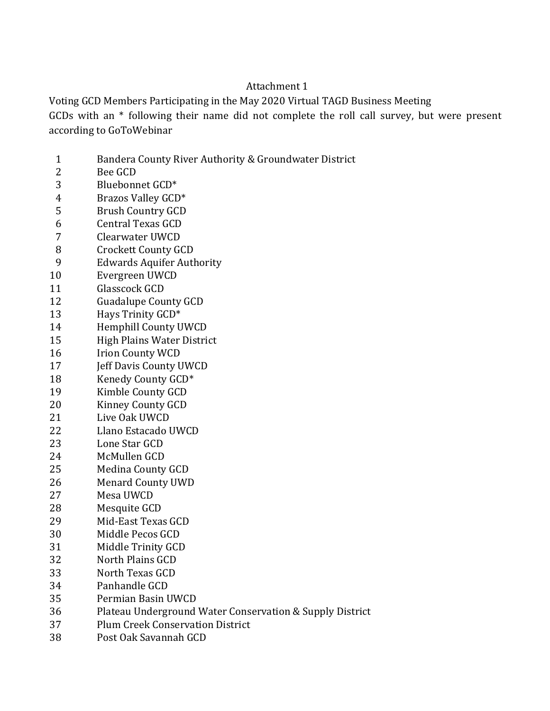## Attachment 1

Voting GCD Members Participating in the May 2020 Virtual TAGD Business Meeting GCDs with an  $*$  following their name did not complete the roll call survey, but were present according to GoToWebinar

- 1 Bandera County River Authority & Groundwater District
- 2 Bee GCD
- 3 Bluebonnet GCD\*
- 4 Brazos Valley GCD\*
- 5 Brush Country GCD
- 6 **Central Texas GCD**
- 7 Clearwater UWCD
- 8 Crockett County GCD
- 9 Edwards Aquifer Authority
- 10 Evergreen UWCD
- 11 Glasscock GCD
- 12 Guadalupe County GCD
- 13 Hays Trinity GCD<sup>\*</sup>
- 14 Hemphill County UWCD
- 15 High Plains Water District
- 16 Irion County WCD
- 17 **Jeff Davis County UWCD**
- 18 Kenedy County GCD\*
- 19 Kimble County GCD
- 20 Kinney County GCD
- 21 Live Oak UWCD
- 22 Llano Estacado UWCD
- 23 Lone Star GCD
- 24 McMullen GCD
- 25 Medina County GCD
- 26 Menard County UWD
- 27 Mesa UWCD
- 28 Mesquite GCD
- 29 Mid-East Texas GCD
- 30 Middle Pecos GCD
- 31 Middle Trinity GCD
- 32 North Plains GCD
- 33 North Texas GCD
- 34 Panhandle GCD
- 35 Permian Basin UWCD
- 36 Plateau Underground Water Conservation & Supply District
- 37 Plum Creek Conservation District
- 38 Post Oak Savannah GCD